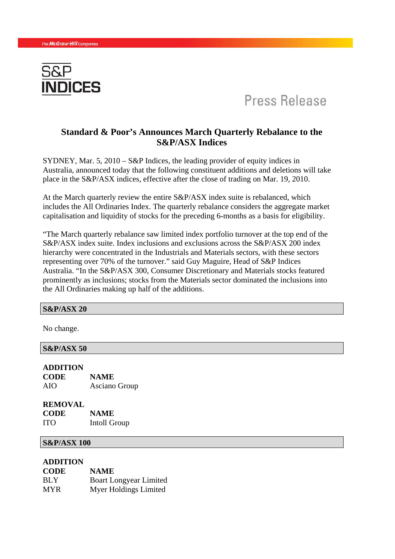

# Press Release

# **Standard & Poor's Announces March Quarterly Rebalance to the S&P/ASX Indices**

SYDNEY, Mar. 5, 2010 – S&P Indices, the leading provider of equity indices in Australia, announced today that the following constituent additions and deletions will take place in the S&P/ASX indices, effective after the close of trading on Mar. 19, 2010.

At the March quarterly review the entire S&P/ASX index suite is rebalanced, which includes the All Ordinaries Index. The quarterly rebalance considers the aggregate market capitalisation and liquidity of stocks for the preceding 6-months as a basis for eligibility.

"The March quarterly rebalance saw limited index portfolio turnover at the top end of the S&P/ASX index suite. Index inclusions and exclusions across the S&P/ASX 200 index hierarchy were concentrated in the Industrials and Materials sectors, with these sectors representing over 70% of the turnover." said Guy Maguire, Head of S&P Indices Australia. "In the S&P/ASX 300, Consumer Discretionary and Materials stocks featured prominently as inclusions; stocks from the Materials sector dominated the inclusions into the All Ordinaries making up half of the additions.

#### **S&P/ASX 20**

No change.

**S&P/ASX 50 ADDITION** 

**CODE NAME**  AIO Asciano Group

**REMOVAL CODE NAME**  ITO Intoll Group

### **S&P/ASX 100**

#### **ADDITION**

| <b>CODE</b> | <b>NAME</b>                   |
|-------------|-------------------------------|
| BLY         | <b>Boart Longyear Limited</b> |
| <b>MYR</b>  | Myer Holdings Limited         |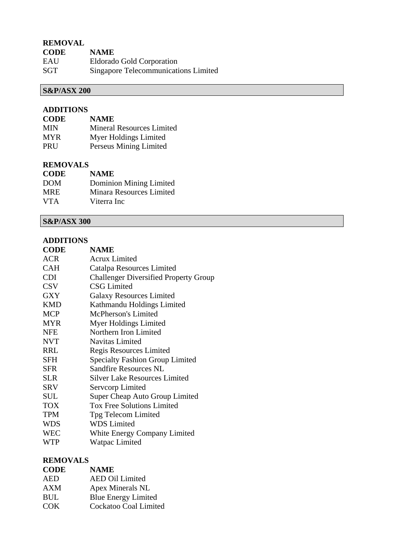## **REMOVAL**

| <b>CODE</b> | <b>NAME</b>                          |
|-------------|--------------------------------------|
| EAU         | Eldorado Gold Corporation            |
| SGT         | Singapore Telecommunications Limited |

# **S&P/ASX 200**

### **ADDITIONS**

| <b>CODE</b> | <b>NAME</b>                      |
|-------------|----------------------------------|
| <b>MIN</b>  | <b>Mineral Resources Limited</b> |
| <b>MYR</b>  | Myer Holdings Limited            |
| PRU         | Perseus Mining Limited           |

### **REMOVALS**

| <b>NAME</b>              |
|--------------------------|
| Dominion Mining Limited  |
| Minara Resources Limited |
| Viterra Inc              |
|                          |

## **S&P/ASX 300**

#### **ADDITIONS**

| <b>CODE</b> | <b>NAME</b>                                  |
|-------------|----------------------------------------------|
| ACR         | Acrux Limited                                |
| <b>CAH</b>  | Catalpa Resources Limited                    |
| <b>CDI</b>  | <b>Challenger Diversified Property Group</b> |
| <b>CSV</b>  | <b>CSG Limited</b>                           |
| <b>GXY</b>  | <b>Galaxy Resources Limited</b>              |
| <b>KMD</b>  | Kathmandu Holdings Limited                   |
| <b>MCP</b>  | <b>McPherson's Limited</b>                   |
| <b>MYR</b>  | Myer Holdings Limited                        |
| <b>NFE</b>  | Northern Iron Limited                        |
| <b>NVT</b>  | <b>Navitas Limited</b>                       |
| <b>RRL</b>  | Regis Resources Limited                      |
| SFH         | <b>Specialty Fashion Group Limited</b>       |
| <b>SFR</b>  | <b>Sandfire Resources NL</b>                 |
| <b>SLR</b>  | Silver Lake Resources Limited                |
| SRV         | Servcorp Limited                             |
| <b>SUL</b>  | Super Cheap Auto Group Limited               |
| <b>TOX</b>  | <b>Tox Free Solutions Limited</b>            |
| <b>TPM</b>  | Tpg Telecom Limited                          |
| <b>WDS</b>  | <b>WDS</b> Limited                           |
| <b>WEC</b>  | White Energy Company Limited                 |
| WTP         | Watpac Limited                               |
|             |                                              |

### **REMOVALS**

| <b>CODE</b> | <b>NAME</b>                |
|-------------|----------------------------|
| AED         | <b>AED Oil Limited</b>     |
| AXM         | Apex Minerals NL           |
| BUL         | <b>Blue Energy Limited</b> |

COK Cockatoo Coal Limited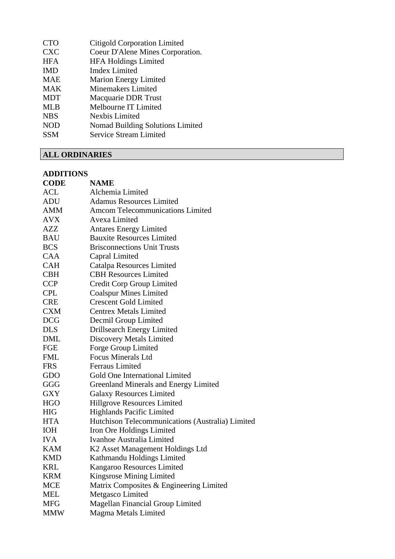| <b>CTO</b> | <b>Citigold Corporation Limited</b> |
|------------|-------------------------------------|
| <b>CXC</b> | Coeur D'Alene Mines Corporation.    |
| <b>HFA</b> | <b>HFA Holdings Limited</b>         |
| <b>IMD</b> | <b>Imdex Limited</b>                |
| <b>MAE</b> | <b>Marion Energy Limited</b>        |
| <b>MAK</b> | <b>Minemakers Limited</b>           |
| <b>MDT</b> | <b>Macquarie DDR Trust</b>          |
| <b>MLB</b> | Melbourne IT Limited                |
| <b>NBS</b> | Nexbis Limited                      |
| <b>NOD</b> | Nomad Building Solutions Limited    |
| <b>SSM</b> | <b>Service Stream Limited</b>       |
|            |                                     |

# **ALL ORDINARIES**

### **ADDITIONS**

| <b>CODE</b> | <b>NAME</b>                                      |
|-------------|--------------------------------------------------|
| ACL         | Alchemia Limited                                 |
| <b>ADU</b>  | <b>Adamus Resources Limited</b>                  |
| AMM         | <b>Amcom Telecommunications Limited</b>          |
| <b>AVX</b>  | Avexa Limited                                    |
| AZZ         | <b>Antares Energy Limited</b>                    |
| <b>BAU</b>  | <b>Bauxite Resources Limited</b>                 |
| <b>BCS</b>  | <b>Brisconnections Unit Trusts</b>               |
| <b>CAA</b>  | Capral Limited                                   |
| <b>CAH</b>  | Catalpa Resources Limited                        |
| <b>CBH</b>  | <b>CBH Resources Limited</b>                     |
| <b>CCP</b>  | Credit Corp Group Limited                        |
| <b>CPL</b>  | <b>Coalspur Mines Limited</b>                    |
| <b>CRE</b>  | <b>Crescent Gold Limited</b>                     |
| <b>CXM</b>  | <b>Centrex Metals Limited</b>                    |
| <b>DCG</b>  | Decmil Group Limited                             |
| <b>DLS</b>  | Drillsearch Energy Limited                       |
| <b>DML</b>  | Discovery Metals Limited                         |
| FGE         | Forge Group Limited                              |
| <b>FML</b>  | <b>Focus Minerals Ltd</b>                        |
| <b>FRS</b>  | <b>Ferraus Limited</b>                           |
| GDO         | Gold One International Limited                   |
| GGG         | <b>Greenland Minerals and Energy Limited</b>     |
| <b>GXY</b>  | <b>Galaxy Resources Limited</b>                  |
| <b>HGO</b>  | Hillgrove Resources Limited                      |
| <b>HIG</b>  | Highlands Pacific Limited                        |
| <b>HTA</b>  | Hutchison Telecommunications (Australia) Limited |
| <b>IOH</b>  | Iron Ore Holdings Limited                        |
| <b>IVA</b>  | Ivanhoe Australia Limited                        |
| KAM         | K2 Asset Management Holdings Ltd                 |
| <b>KMD</b>  | Kathmandu Holdings Limited                       |
| <b>KRL</b>  | Kangaroo Resources Limited                       |
| <b>KRM</b>  | Kingsrose Mining Limited                         |
| <b>MCE</b>  | Matrix Composites & Engineering Limited          |
| <b>MEL</b>  | Metgasco Limited                                 |
| <b>MFG</b>  | <b>Magellan Financial Group Limited</b>          |
| <b>MMW</b>  | Magma Metals Limited                             |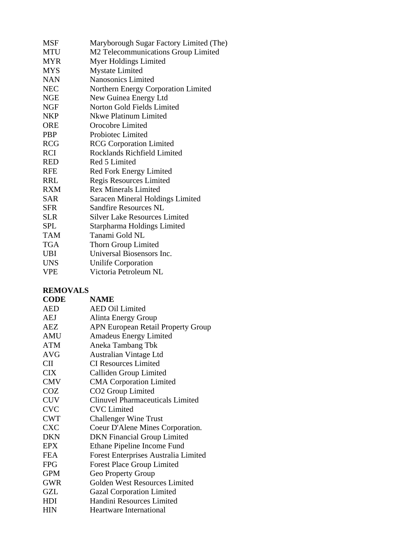| Maryborough Sugar Factory Limited (The) |
|-----------------------------------------|
| M2 Telecommunications Group Limited     |
| Myer Holdings Limited                   |
| <b>Mystate Limited</b>                  |
| <b>Nanosonics Limited</b>               |
| Northern Energy Corporation Limited     |
| New Guinea Energy Ltd                   |
| Norton Gold Fields Limited              |
| Nkwe Platinum Limited                   |
| Orocobre Limited                        |
| Probiotec Limited                       |
| <b>RCG</b> Corporation Limited          |
| Rocklands Richfield Limited             |
| Red 5 Limited                           |
| Red Fork Energy Limited                 |
| Regis Resources Limited                 |
| <b>Rex Minerals Limited</b>             |
| Saracen Mineral Holdings Limited        |
| <b>Sandfire Resources NL</b>            |
| <b>Silver Lake Resources Limited</b>    |
| Starpharma Holdings Limited             |
| Tanami Gold NL                          |
| Thorn Group Limited                     |
| Universal Biosensors Inc.               |
| <b>Unilife Corporation</b>              |
| Victoria Petroleum NL                   |
|                                         |

### **REMOVALS**

| <b>CODE</b> | <b>NAME</b>                                 |
|-------------|---------------------------------------------|
| <b>AED</b>  | <b>AED Oil Limited</b>                      |
| AEJ         | Alinta Energy Group                         |
| AEZ         | <b>APN European Retail Property Group</b>   |
| <b>AMU</b>  | <b>Amadeus Energy Limited</b>               |
| <b>ATM</b>  | Aneka Tambang Tbk                           |
| <b>AVG</b>  | <b>Australian Vintage Ltd</b>               |
| <b>CII</b>  | <b>CI Resources Limited</b>                 |
| <b>CIX</b>  | Calliden Group Limited                      |
| <b>CMV</b>  | <b>CMA Corporation Limited</b>              |
| <b>COZ</b>  | CO <sub>2</sub> Group Limited               |
| <b>CUV</b>  | <b>Clinuvel Pharmaceuticals Limited</b>     |
| <b>CVC</b>  | <b>CVC</b> Limited                          |
| <b>CWT</b>  | <b>Challenger Wine Trust</b>                |
| <b>CXC</b>  | Coeur D'Alene Mines Corporation.            |
| <b>DKN</b>  | <b>DKN</b> Financial Group Limited          |
| <b>EPX</b>  | Ethane Pipeline Income Fund                 |
| FEA         | <b>Forest Enterprises Australia Limited</b> |
| <b>FPG</b>  | <b>Forest Place Group Limited</b>           |
| <b>GPM</b>  | Geo Property Group                          |
| <b>GWR</b>  | Golden West Resources Limited               |
| <b>GZL</b>  | <b>Gazal Corporation Limited</b>            |
| HDI         | Handini Resources Limited                   |
| <b>HIN</b>  | <b>Heartware International</b>              |
|             |                                             |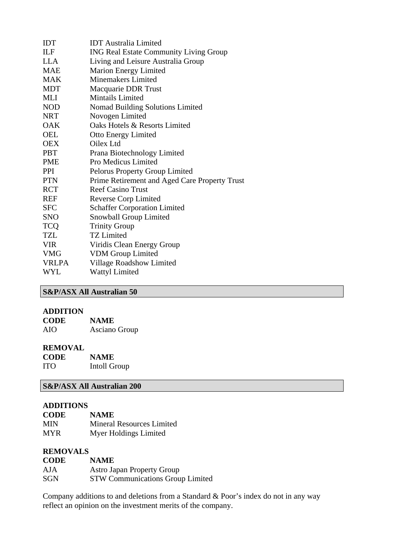| <b>ILF</b><br><b>ING Real Estate Community Living Group</b><br><b>LLA</b><br>Living and Leisure Australia Group<br><b>MAE</b><br><b>Marion Energy Limited</b><br><b>Minemakers Limited</b><br><b>MAK</b><br><b>MDT</b><br>Macquarie DDR Trust<br>Mintails Limited<br><b>MLI</b><br><b>NOD</b><br>Nomad Building Solutions Limited<br>Novogen Limited<br><b>NRT</b><br>Oaks Hotels & Resorts Limited<br>OAK<br>OEL<br><b>Otto Energy Limited</b><br>Oilex Ltd<br><b>OEX</b><br><b>PBT</b><br>Prana Biotechnology Limited<br>Pro Medicus Limited<br><b>PME</b><br><b>PPI</b><br><b>Pelorus Property Group Limited</b><br><b>PTN</b><br>Prime Retirement and Aged Care Property Trust<br><b>RCT</b><br><b>Reef Casino Trust</b><br><b>Reverse Corp Limited</b><br><b>REF</b><br><b>Schaffer Corporation Limited</b><br><b>SFC</b><br>Snowball Group Limited<br><b>SNO</b><br><b>TCQ</b><br><b>Trinity Group</b><br><b>TZL</b><br><b>TZ Limited</b> | <b>IDT</b> | <b>IDT</b> Australia Limited |
|-------------------------------------------------------------------------------------------------------------------------------------------------------------------------------------------------------------------------------------------------------------------------------------------------------------------------------------------------------------------------------------------------------------------------------------------------------------------------------------------------------------------------------------------------------------------------------------------------------------------------------------------------------------------------------------------------------------------------------------------------------------------------------------------------------------------------------------------------------------------------------------------------------------------------------------------------|------------|------------------------------|
|                                                                                                                                                                                                                                                                                                                                                                                                                                                                                                                                                                                                                                                                                                                                                                                                                                                                                                                                                 |            |                              |
|                                                                                                                                                                                                                                                                                                                                                                                                                                                                                                                                                                                                                                                                                                                                                                                                                                                                                                                                                 |            |                              |
|                                                                                                                                                                                                                                                                                                                                                                                                                                                                                                                                                                                                                                                                                                                                                                                                                                                                                                                                                 |            |                              |
|                                                                                                                                                                                                                                                                                                                                                                                                                                                                                                                                                                                                                                                                                                                                                                                                                                                                                                                                                 |            |                              |
|                                                                                                                                                                                                                                                                                                                                                                                                                                                                                                                                                                                                                                                                                                                                                                                                                                                                                                                                                 |            |                              |
|                                                                                                                                                                                                                                                                                                                                                                                                                                                                                                                                                                                                                                                                                                                                                                                                                                                                                                                                                 |            |                              |
|                                                                                                                                                                                                                                                                                                                                                                                                                                                                                                                                                                                                                                                                                                                                                                                                                                                                                                                                                 |            |                              |
|                                                                                                                                                                                                                                                                                                                                                                                                                                                                                                                                                                                                                                                                                                                                                                                                                                                                                                                                                 |            |                              |
|                                                                                                                                                                                                                                                                                                                                                                                                                                                                                                                                                                                                                                                                                                                                                                                                                                                                                                                                                 |            |                              |
|                                                                                                                                                                                                                                                                                                                                                                                                                                                                                                                                                                                                                                                                                                                                                                                                                                                                                                                                                 |            |                              |
|                                                                                                                                                                                                                                                                                                                                                                                                                                                                                                                                                                                                                                                                                                                                                                                                                                                                                                                                                 |            |                              |
|                                                                                                                                                                                                                                                                                                                                                                                                                                                                                                                                                                                                                                                                                                                                                                                                                                                                                                                                                 |            |                              |
|                                                                                                                                                                                                                                                                                                                                                                                                                                                                                                                                                                                                                                                                                                                                                                                                                                                                                                                                                 |            |                              |
|                                                                                                                                                                                                                                                                                                                                                                                                                                                                                                                                                                                                                                                                                                                                                                                                                                                                                                                                                 |            |                              |
|                                                                                                                                                                                                                                                                                                                                                                                                                                                                                                                                                                                                                                                                                                                                                                                                                                                                                                                                                 |            |                              |
|                                                                                                                                                                                                                                                                                                                                                                                                                                                                                                                                                                                                                                                                                                                                                                                                                                                                                                                                                 |            |                              |
|                                                                                                                                                                                                                                                                                                                                                                                                                                                                                                                                                                                                                                                                                                                                                                                                                                                                                                                                                 |            |                              |
|                                                                                                                                                                                                                                                                                                                                                                                                                                                                                                                                                                                                                                                                                                                                                                                                                                                                                                                                                 |            |                              |
|                                                                                                                                                                                                                                                                                                                                                                                                                                                                                                                                                                                                                                                                                                                                                                                                                                                                                                                                                 |            |                              |
|                                                                                                                                                                                                                                                                                                                                                                                                                                                                                                                                                                                                                                                                                                                                                                                                                                                                                                                                                 |            |                              |
|                                                                                                                                                                                                                                                                                                                                                                                                                                                                                                                                                                                                                                                                                                                                                                                                                                                                                                                                                 |            |                              |
|                                                                                                                                                                                                                                                                                                                                                                                                                                                                                                                                                                                                                                                                                                                                                                                                                                                                                                                                                 | <b>VIR</b> | Viridis Clean Energy Group   |
| <b>VDM</b> Group Limited<br><b>VMG</b>                                                                                                                                                                                                                                                                                                                                                                                                                                                                                                                                                                                                                                                                                                                                                                                                                                                                                                          |            |                              |
| <b>VRLPA</b>                                                                                                                                                                                                                                                                                                                                                                                                                                                                                                                                                                                                                                                                                                                                                                                                                                                                                                                                    |            | Village Roadshow Limited     |
|                                                                                                                                                                                                                                                                                                                                                                                                                                                                                                                                                                                                                                                                                                                                                                                                                                                                                                                                                 | <b>WYL</b> | <b>Wattyl Limited</b>        |
|                                                                                                                                                                                                                                                                                                                                                                                                                                                                                                                                                                                                                                                                                                                                                                                                                                                                                                                                                 |            |                              |

# **S&P/ASX All Australian 50**

### **ADDITION**

| <b>CODE</b> | <b>NAME</b>   |
|-------------|---------------|
| AIO         | Asciano Group |

### **REMOVAL**

| <b>CODE</b> | <b>NAME</b>  |
|-------------|--------------|
| <b>ITO</b>  | Intoll Group |

### **S&P/ASX All Australian 200**

### **ADDITIONS**

| <b>CODE</b> | <b>NAME</b>                      |
|-------------|----------------------------------|
| MIN         | <b>Mineral Resources Limited</b> |
| MYR         | Myer Holdings Limited            |

# **REMOVALS**

| <b>CODE</b> | <b>NAME</b>                             |
|-------------|-----------------------------------------|
| <b>AJA</b>  | <b>Astro Japan Property Group</b>       |
| <b>SGN</b>  | <b>STW Communications Group Limited</b> |

Company additions to and deletions from a Standard & Poor's index do not in any way reflect an opinion on the investment merits of the company.